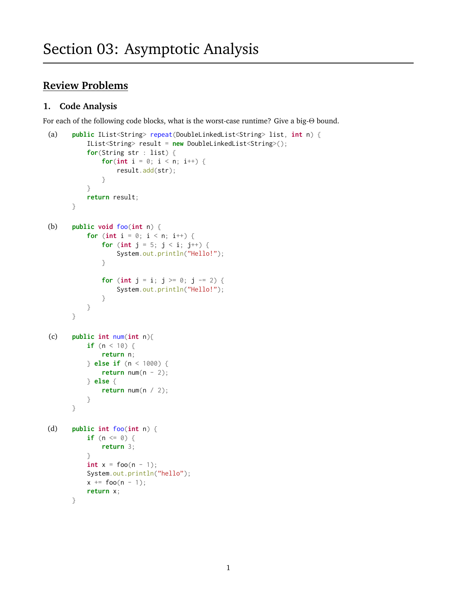# **Review Problems**

## **1. Code Analysis**

For each of the following code blocks, what is the worst-case runtime? Give a big-Θ bound.

```
(a) public IList<String> repeat(DoubleLinkedList<String> list, int n) {
           IList<String> result = new DoubleLinkedList<String>();
          for(String str : list) {
               for(\text{int } i = 0; i < n; i++) {
                   result.add(str);
               }
          }
          return result;
      }
(b) public void foo(int n) {
          for (int i = 0; i < n; i^{++}) {
               for (int j = 5; j < i; j^{++}) {
                   System.out.println("Hello!");
               }
               for (int j = i; j \ge 0; j = 2) {
                   System.out.println("Hello!");
               }
          }
      }
(c) public int num(int n){
          if (n < 10) {
               return n;
          } else if (n < 1000) {
               return num(n - 2);
           } else {
               return num(n / 2);
          }
      }
(d) public int foo(int n) {
          if (n \le 0) {
               return 3;
          }
          int x = foo(n - 1);
          System.out.println("hello");
          x += foo(n - 1);
          return x;
      }
```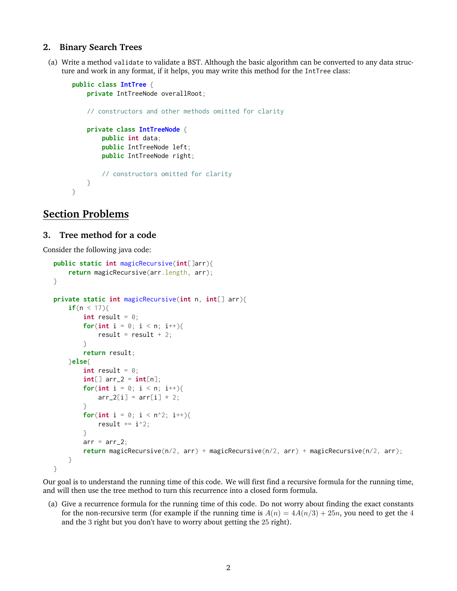#### **2. Binary Search Trees**

(a) Write a method validate to validate a BST. Although the basic algorithm can be converted to any data structure and work in any format, if it helps, you may write this method for the IntTree class:

```
public class IntTree {
    private IntTreeNode overallRoot;
    // constructors and other methods omitted for clarity
    private class IntTreeNode {
        public int data;
        public IntTreeNode left;
        public IntTreeNode right;
        // constructors omitted for clarity
    }
}
```
## **Section Problems**

#### **3. Tree method for a code**

Consider the following java code:

```
public static int magicRecursive(int[]arr){
    return magicRecursive(arr.length, arr);
}
private static int magicRecursive(int n, int[] arr){
    if(n < 17){
        int result = 0;
        for(\text{int } i = 0; i < n; i++){
            result = result + 2;
        }
        return result;
   }else{
        int result = 0;
        int[] arr_2 = int[n];
        for(int i = 0; i < n; i++){
            arr_2[i] = arr[i] * 2;}
        for(\text{int } i = 0; i < n^2; i++){
            result += i^2;
        }
        arr = arr_2;return magicRecursive(n/2, arr) + magicRecursive(n/2, arr) + magicRecursive(n/2, arr);
    }
}
```
Our goal is to understand the running time of this code. We will first find a recursive formula for the running time, and will then use the tree method to turn this recurrence into a closed form formula.

(a) Give a recurrence formula for the running time of this code. Do not worry about finding the exact constants for the non-recursive term (for example if the running time is  $A(n) = 4A(n/3) + 25n$ , you need to get the 4 and the 3 right but you don't have to worry about getting the 25 right).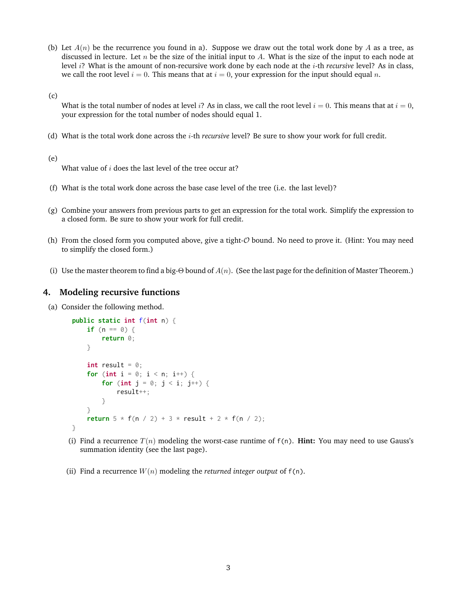- (b) Let  $A(n)$  be the recurrence you found in a). Suppose we draw out the total work done by A as a tree, as discussed in lecture. Let n be the size of the initial input to A. What is the size of the input to each node at level i? What is the amount of non-recursive work done by each node at the i-th *recursive* level? As in class, we call the root level  $i = 0$ . This means that at  $i = 0$ , your expression for the input should equal n.
- (c)

What is the total number of nodes at level i? As in class, we call the root level  $i = 0$ . This means that at  $i = 0$ , your expression for the total number of nodes should equal 1.

- (d) What is the total work done across the i-th *recursive* level? Be sure to show your work for full credit.
- (e)

What value of  $i$  does the last level of the tree occur at?

- (f) What is the total work done across the base case level of the tree (i.e. the last level)?
- (g) Combine your answers from previous parts to get an expression for the total work. Simplify the expression to a closed form. Be sure to show your work for full credit.
- (h) From the closed form you computed above, give a tight-O bound. No need to prove it. (Hint: You may need to simplify the closed form.)
- (i) Use the master theorem to find a big-Θ bound of  $A(n)$ . (See the last page for the definition of Master Theorem.)

#### **4. Modeling recursive functions**

(a) Consider the following method.

```
public static int f(int n) {
    if (n == 0) {
        return 0;
    }
    int result = 0;
    for (int i = 0; i < n; i^{++}) {
        for (int j = 0; j < i; j^{++}) {
            result++;
        }
    }
    return 5 * f(n / 2) + 3 * result + 2 * f(n / 2);}
```
- (i) Find a recurrence  $T(n)$  modeling the worst-case runtime of  $f(n)$ . **Hint:** You may need to use Gauss's summation identity (see the last page).
- (ii) Find a recurrence  $W(n)$  modeling the *returned integer output* of  $f(n)$ .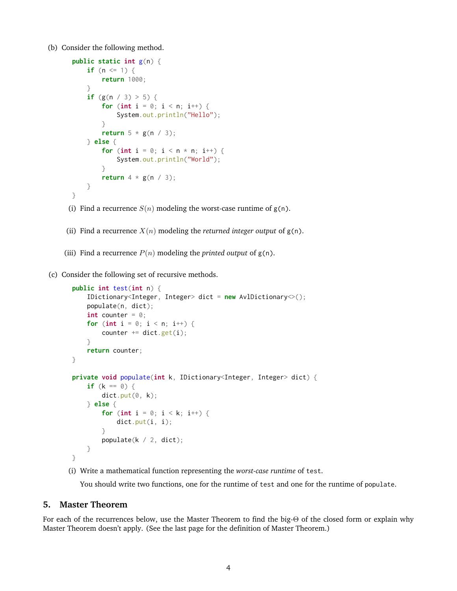(b) Consider the following method.

```
public static int g(n) {
    if (n \leq 1) {
        return 1000;
    }
    if (g(n / 3) > 5) {
        for (int i = 0; i < n; i++) {
            System.out.println("Hello");
        }
        return 5 * g(n / 3);
    } else {
        for (int i = 0; i < n * n; i^{++}) {
            System.out.println("World");
        }
        return 4 * g(n / 3);
    }
}
```
- (i) Find a recurrence  $S(n)$  modeling the worst-case runtime of  $g(n)$ .
- (ii) Find a recurrence  $X(n)$  modeling the *returned integer output* of  $g(n)$ .
- (iii) Find a recurrence  $P(n)$  modeling the *printed output* of  $g(n)$ .
- (c) Consider the following set of recursive methods.

```
public int test(int n) {
    IDictionary<Integer, Integer> dict = new AvlDictionary<>();
    populate(n, dict);
    int counter = \theta;
    for (int i = 0; i < n; i^{++}) {
        counter += dict.get(i);
    }
    return counter;
}
private void populate(int k, IDictionary<Integer, Integer> dict) {
    if (k == 0) {
        dict.put(0, k);} else {
        for (int i = 0; i < k; i^{++}) {
            dict.put(i, i);
        }
        populate(k / 2, dict);
    }
}
```
(i) Write a mathematical function representing the *worst-case runtime* of test.

You should write two functions, one for the runtime of test and one for the runtime of populate.

#### **5. Master Theorem**

For each of the recurrences below, use the Master Theorem to find the big-Θ of the closed form or explain why Master Theorem doesn't apply. (See the last page for the definition of Master Theorem.)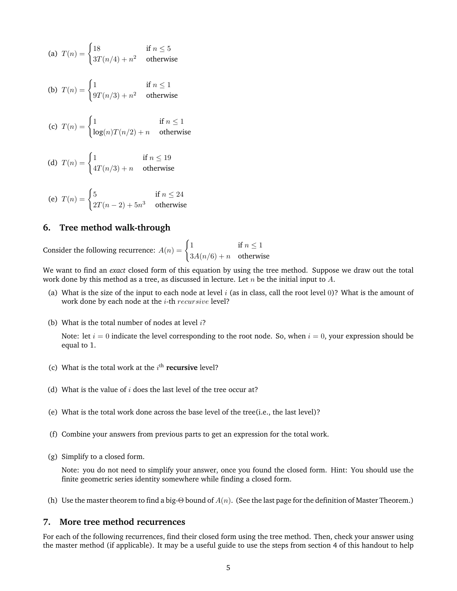(a) 
$$
T(n) = \begin{cases} 18 & \text{if } n \leq 5 \\ 3T(n/4) + n^2 & \text{otherwise} \end{cases}
$$

(b) 
$$
T(n) = \begin{cases} 1 & \text{if } n \le 1 \\ 9T(n/3) + n^2 & \text{otherwise} \end{cases}
$$

(c) 
$$
T(n) = \begin{cases} 1 & \text{if } n \le 1 \\ \log(n)T(n/2) + n & \text{otherwise} \end{cases}
$$

(d) 
$$
T(n) = \begin{cases} 1 & \text{if } n \le 19 \\ 4T(n/3) + n & \text{otherwise} \end{cases}
$$

(e) 
$$
T(n) = \begin{cases} 5 & \text{if } n \le 24 \\ 2T(n-2) + 5n^3 & \text{otherwise} \end{cases}
$$

#### **6. Tree method walk-through**

Consider the following recurrence:  $A(n) = \begin{cases} 1 & \text{if } n \leq 1 \\ 0 & \text{if } n \leq n \end{cases}$  $3A(n/6) + n$  otherwise

We want to find an *exact* closed form of this equation by using the tree method. Suppose we draw out the total work done by this method as a tree, as discussed in lecture. Let  $n$  be the initial input to  $A$ .

- (a) What is the size of the input to each node at level  $i$  (as in class, call the root level 0)? What is the amount of work done by each node at the *i*-th *recursive* level?
- (b) What is the total number of nodes at level  $i$ ?

Note: let  $i = 0$  indicate the level corresponding to the root node. So, when  $i = 0$ , your expression should be equal to 1.

- (c) What is the total work at the  $i<sup>th</sup>$  **recursive** level?
- (d) What is the value of  $i$  does the last level of the tree occur at?
- (e) What is the total work done across the base level of the tree(i.e., the last level)?
- (f) Combine your answers from previous parts to get an expression for the total work.
- (g) Simplify to a closed form.

Note: you do not need to simplify your answer, once you found the closed form. Hint: You should use the finite geometric series identity somewhere while finding a closed form.

(h) Use the master theorem to find a big-Θ bound of  $A(n)$ . (See the last page for the definition of Master Theorem.)

#### **7. More tree method recurrences**

For each of the following recurrences, find their closed form using the tree method. Then, check your answer using the master method (if applicable). It may be a useful guide to use the steps from section 4 of this handout to help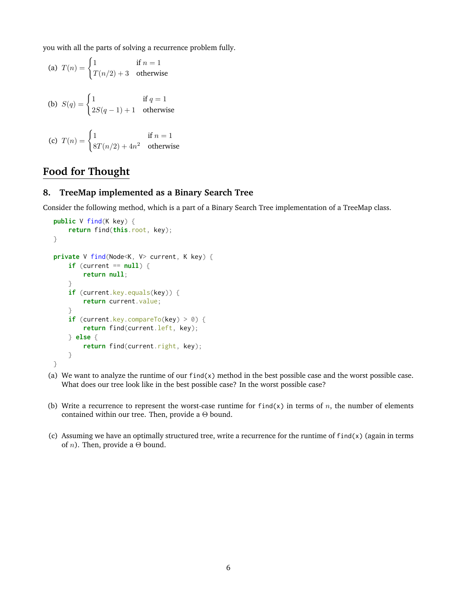you with all the parts of solving a recurrence problem fully.

(a) 
$$
T(n) = \begin{cases} 1 & \text{if } n = 1 \\ T(n/2) + 3 & \text{otherwise} \end{cases}
$$

(b) 
$$
S(q) = \begin{cases} 1 & \text{if } q = 1 \\ 2S(q-1) + 1 & \text{otherwise} \end{cases}
$$

(c) 
$$
T(n) = \begin{cases} 1 & \text{if } n = 1\\ 8T(n/2) + 4n^2 & \text{otherwise} \end{cases}
$$

# **Food for Thought**

### **8. TreeMap implemented as a Binary Search Tree**

Consider the following method, which is a part of a Binary Search Tree implementation of a TreeMap class.

```
public V find(K key) {
    return find(this.root, key);
}
private V find(Node<K, V> current, K key) {
    if (current == null) {
        return null;
    }
    if (current.key.equals(key)) {
        return current.value;
    }
    if (current.key.compareTo(key) > 0) {
        return find(current.left, key);
    } else {
        return find(current.right, key);
    }
}
```
- (a) We want to analyze the runtime of our  $find(x)$  method in the best possible case and the worst possible case. What does our tree look like in the best possible case? In the worst possible case?
- (b) Write a recurrence to represent the worst-case runtime for  $find(x)$  in terms of n, the number of elements contained within our tree. Then, provide a Θ bound.
- (c) Assuming we have an optimally structured tree, write a recurrence for the runtime of  $find(x)$  (again in terms of *n*). Then, provide a  $\Theta$  bound.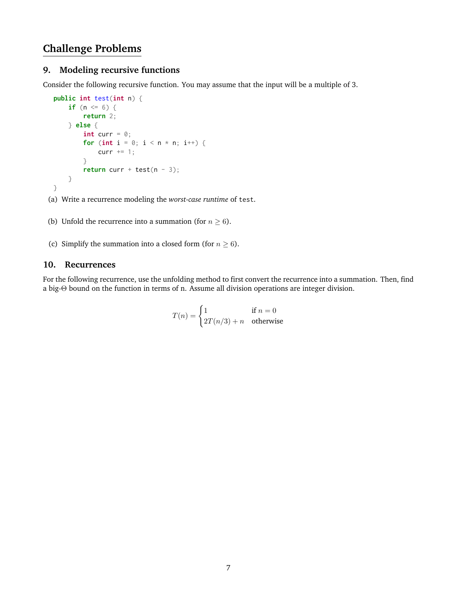# **Challenge Problems**

### **9. Modeling recursive functions**

Consider the following recursive function. You may assume that the input will be a multiple of 3.

```
public int test(int n) {
    if (n \le 6) {
        return 2;
    } else {
        int curr = 0;
        for (int i = 0; i < n * n; i++) {
            curr += 1;}
        return curr + test(n - 3);
    }
}
```
- (a) Write a recurrence modeling the *worst-case runtime* of test.
- (b) Unfold the recurrence into a summation (for  $n \ge 6$ ).
- (c) Simplify the summation into a closed form (for  $n \ge 6$ ).

#### **10. Recurrences**

For the following recurrence, use the unfolding method to first convert the recurrence into a summation. Then, find a big-Θ bound on the function in terms of n. Assume all division operations are integer division.

$$
T(n) = \begin{cases} 1 & \text{if } n = 0\\ 2T(n/3) + n & \text{otherwise} \end{cases}
$$